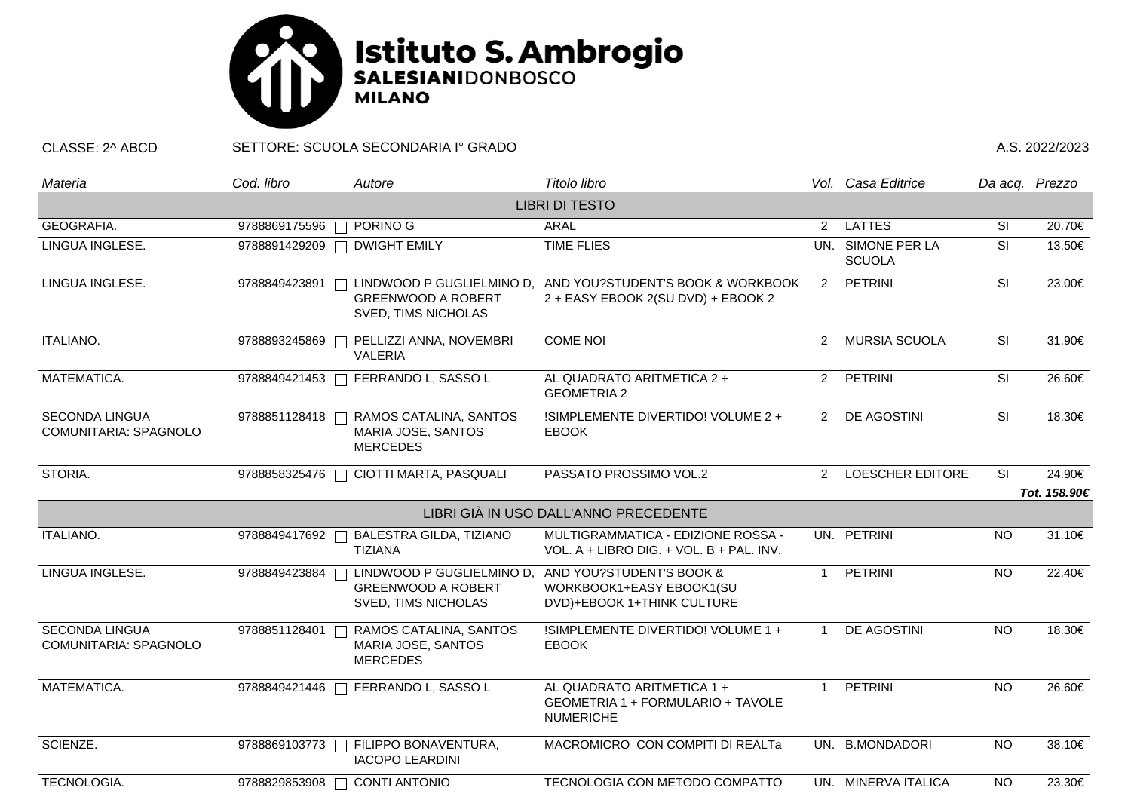

CLASSE: 2^ ABCD SETTORE: SCUOLA SECONDARIA I° GRADO A.S. 2022/2023

| Materia                                               | Cod. libro    | Autore                                                                        | Titolo libro                                                                        |                                    | Vol. Casa Editrice      |                          | Da acq. Prezzo |  |  |  |  |  |  |
|-------------------------------------------------------|---------------|-------------------------------------------------------------------------------|-------------------------------------------------------------------------------------|------------------------------------|-------------------------|--------------------------|----------------|--|--|--|--|--|--|
| <b>LIBRI DI TESTO</b>                                 |               |                                                                               |                                                                                     |                                    |                         |                          |                |  |  |  |  |  |  |
| GEOGRAFIA.                                            | 9788869175596 | PORINO G<br>$\Box$                                                            | <b>ARAL</b>                                                                         | <b>LATTES</b>                      | SI                      | 20.70€                   |                |  |  |  |  |  |  |
| LINGUA INGLESE.                                       |               | 9788891429209   DWIGHT EMILY                                                  | <b>TIME FLIES</b>                                                                   | UN. SIMONE PER LA<br><b>SCUOLA</b> |                         | $\overline{\mathsf{SI}}$ | 13.50€         |  |  |  |  |  |  |
| LINGUA INGLESE.                                       | 9788849423891 | LINDWOOD P GUGLIELMINO D.<br><b>GREENWOOD A ROBERT</b><br>SVED, TIMS NICHOLAS | AND YOU?STUDENT'S BOOK & WORKBOOK<br>2 + EASY EBOOK 2(SU DVD) + EBOOK 2             | $\mathbf{2}$                       | PETRINI                 | SI                       | 23.00€         |  |  |  |  |  |  |
| ITALIANO.                                             | 9788893245869 | PELLIZZI ANNA, NOVEMBRI<br><b>VALERIA</b>                                     | <b>COME NOI</b>                                                                     | $\overline{2}$                     | <b>MURSIA SCUOLA</b>    | SI                       | 31.90€         |  |  |  |  |  |  |
| MATEMATICA.                                           | 9788849421453 | FERRANDO L, SASSO L                                                           | AL QUADRATO ARITMETICA 2 +<br><b>GEOMETRIA 2</b>                                    | $\mathbf{2}$                       | PETRINI                 | SI                       | 26.60€         |  |  |  |  |  |  |
| <b>SECONDA LINGUA</b><br>COMUNITARIA: SPAGNOLO        | 9788851128418 | RAMOS CATALINA, SANTOS<br>MARIA JOSE, SANTOS<br><b>MERCEDES</b>               | !SIMPLEMENTE DIVERTIDO! VOLUME 2 +<br><b>EBOOK</b>                                  |                                    | 2 DE AGOSTINI           | SI                       | 18.30€         |  |  |  |  |  |  |
| STORIA.                                               | 9788858325476 | CIOTTI MARTA, PASQUALI                                                        | PASSATO PROSSIMO VOL.2                                                              | $\overline{2}$                     | <b>LOESCHER EDITORE</b> | SI                       | 24.90€         |  |  |  |  |  |  |
|                                                       |               |                                                                               |                                                                                     |                                    |                         |                          | Tot. 158.90€   |  |  |  |  |  |  |
|                                                       |               |                                                                               | LIBRI GIÀ IN USO DALL'ANNO PRECEDENTE                                               |                                    |                         |                          |                |  |  |  |  |  |  |
| ITALIANO.                                             | 9788849417692 | BALESTRA GILDA, TIZIANO<br><b>TIZIANA</b>                                     | MULTIGRAMMATICA - EDIZIONE ROSSA -<br>VOL. A + LIBRO DIG. + VOL. B + PAL. INV.      |                                    | UN. PETRINI             | <b>NO</b>                | 31.10€         |  |  |  |  |  |  |
| LINGUA INGLESE.                                       | 9788849423884 | LINDWOOD P GUGLIELMINO D,<br><b>GREENWOOD A ROBERT</b><br>SVED, TIMS NICHOLAS | AND YOU?STUDENT'S BOOK &<br>WORKBOOK1+EASY EBOOK1(SU<br>DVD)+EBOOK 1+THINK CULTURE  | $\mathbf{1}$                       | PETRINI                 | <b>NO</b>                | 22.40€         |  |  |  |  |  |  |
| <b>SECONDA LINGUA</b><br><b>COMUNITARIA: SPAGNOLO</b> | 9788851128401 | RAMOS CATALINA, SANTOS<br>MARIA JOSE, SANTOS<br><b>MERCEDES</b>               | !SIMPLEMENTE DIVERTIDO! VOLUME 1 +<br><b>EBOOK</b>                                  |                                    | DE AGOSTINI             | <b>NO</b>                | 18.30€         |  |  |  |  |  |  |
| MATEMATICA.                                           | 9788849421446 | FERRANDO L, SASSO L<br>$\Box$                                                 | AL QUADRATO ARITMETICA 1 +<br>GEOMETRIA 1 + FORMULARIO + TAVOLE<br><b>NUMERICHE</b> | 1                                  | PETRINI                 | <b>NO</b>                | 26.60€         |  |  |  |  |  |  |
| SCIENZE.                                              | 9788869103773 | FILIPPO BONAVENTURA,<br><b>IACOPO LEARDINI</b>                                | MACROMICRO CON COMPITI DI REALTa                                                    |                                    | UN. B.MONDADORI         | <b>NO</b>                | 38.10€         |  |  |  |  |  |  |
| TECNOLOGIA.                                           | 9788829853908 | <b>CONTI ANTONIO</b>                                                          | TECNOLOGIA CON METODO COMPATTO                                                      |                                    | UN. MINERVA ITALICA     | <b>NO</b>                | 23.30€         |  |  |  |  |  |  |